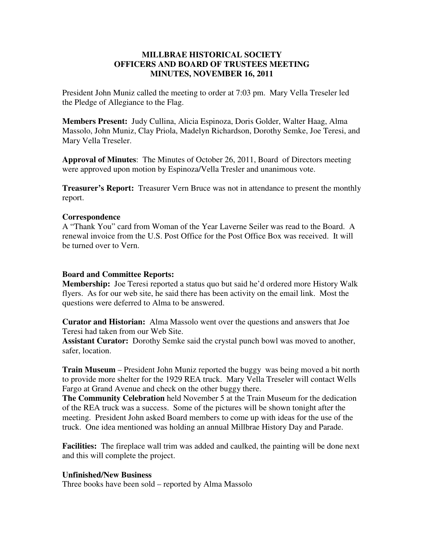## **MILLBRAE HISTORICAL SOCIETY OFFICERS AND BOARD OF TRUSTEES MEETING MINUTES, NOVEMBER 16, 2011**

President John Muniz called the meeting to order at 7:03 pm. Mary Vella Treseler led the Pledge of Allegiance to the Flag.

**Members Present:** Judy Cullina, Alicia Espinoza, Doris Golder, Walter Haag, Alma Massolo, John Muniz, Clay Priola, Madelyn Richardson, Dorothy Semke, Joe Teresi, and Mary Vella Treseler.

**Approval of Minutes**: The Minutes of October 26, 2011, Board of Directors meeting were approved upon motion by Espinoza/Vella Tresler and unanimous vote.

**Treasurer's Report:** Treasurer Vern Bruce was not in attendance to present the monthly report.

## **Correspondence**

A "Thank You" card from Woman of the Year Laverne Seiler was read to the Board. A renewal invoice from the U.S. Post Office for the Post Office Box was received. It will be turned over to Vern.

## **Board and Committee Reports:**

**Membership:** Joe Teresi reported a status quo but said he'd ordered more History Walk flyers. As for our web site, he said there has been activity on the email link. Most the questions were deferred to Alma to be answered.

**Curator and Historian:** Alma Massolo went over the questions and answers that Joe Teresi had taken from our Web Site.

**Assistant Curator:** Dorothy Semke said the crystal punch bowl was moved to another, safer, location.

**Train Museum** – President John Muniz reported the buggy was being moved a bit north to provide more shelter for the 1929 REA truck. Mary Vella Treseler will contact Wells Fargo at Grand Avenue and check on the other buggy there.

**The Community Celebration** held November 5 at the Train Museum for the dedication of the REA truck was a success. Some of the pictures will be shown tonight after the meeting. President John asked Board members to come up with ideas for the use of the truck. One idea mentioned was holding an annual Millbrae History Day and Parade.

**Facilities:** The fireplace wall trim was added and caulked, the painting will be done next and this will complete the project.

## **Unfinished/New Business**

Three books have been sold – reported by Alma Massolo